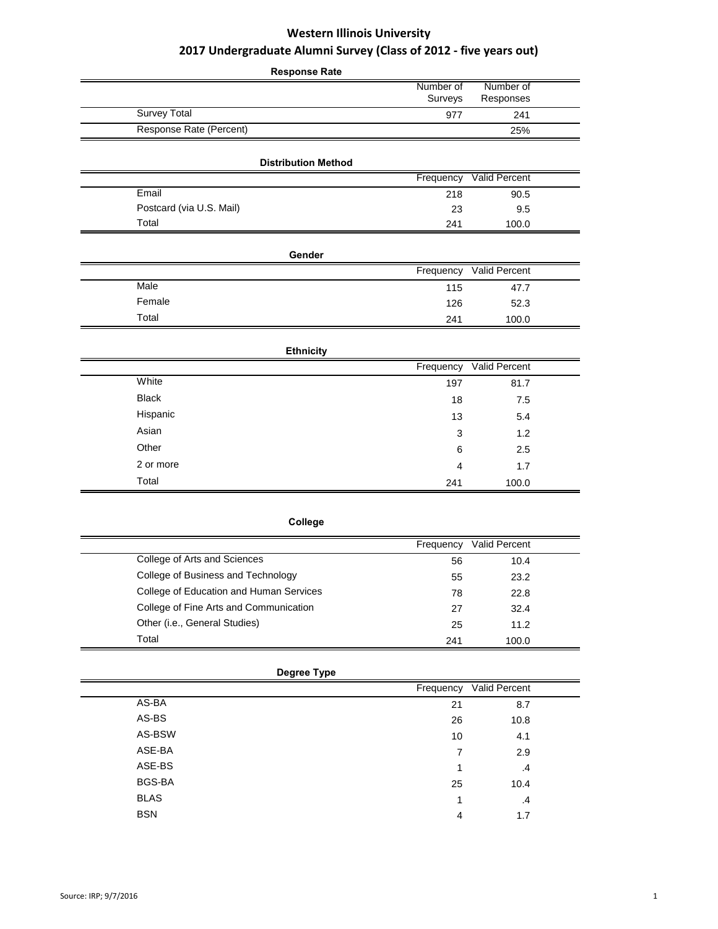| <b>Response Rate</b>       |                      |                        |
|----------------------------|----------------------|------------------------|
|                            | Number of<br>Surveys | Number of<br>Responses |
| <b>Survey Total</b>        | 977                  | 241                    |
| Response Rate (Percent)    |                      | 25%                    |
| <b>Distribution Method</b> |                      |                        |
|                            | Frequency            | Valid Percent          |
| Email                      | 218                  | 90.5                   |
| Postcard (via U.S. Mail)   | 23                   | 9.5                    |
| Total                      | 241                  | 100.0                  |
| Gender                     |                      |                        |
|                            | Frequency            | Valid Percent          |
| Male                       | 115                  | 47.7                   |
| Female                     | 126                  | 52.3                   |
| Total                      | 241                  | 100.0                  |
| <b>Ethnicity</b>           |                      |                        |
|                            | Frequency            | Valid Percent          |
| White                      | 197                  | 81.7                   |
| <b>Black</b>               | 18                   | 7.5                    |
| Hispanic                   | 13                   | 5.4                    |
| Asian                      | 3                    | 1.2                    |
| Other                      | 6                    | 2.5                    |
| 2 or more                  | 4                    | 1.7                    |
| Total                      | 241                  | 100.0                  |

| ollea<br>o |  |  |  |
|------------|--|--|--|
|------------|--|--|--|

|                                         | Frequency | <b>Valid Percent</b> |
|-----------------------------------------|-----------|----------------------|
| College of Arts and Sciences            | 56        | 10.4                 |
| College of Business and Technology      | 55        | 23.2                 |
| College of Education and Human Services | 78        | 22.8                 |
| College of Fine Arts and Communication  | 27        | 32.4                 |
| Other (i.e., General Studies)           | 25        | 11.2                 |
| Total                                   | 241       | 100.0                |

|             | Degree Type |                         |  |
|-------------|-------------|-------------------------|--|
|             |             | Frequency Valid Percent |  |
| AS-BA       | 21          | 8.7                     |  |
| AS-BS       | 26          | 10.8                    |  |
| AS-BSW      | 10          | 4.1                     |  |
| ASE-BA      | 7           | 2.9                     |  |
| ASE-BS      |             | $\cdot$                 |  |
| BGS-BA      | 25          | 10.4                    |  |
| <b>BLAS</b> | и           | .4                      |  |
| <b>BSN</b>  | 4           | 1.7                     |  |
|             |             |                         |  |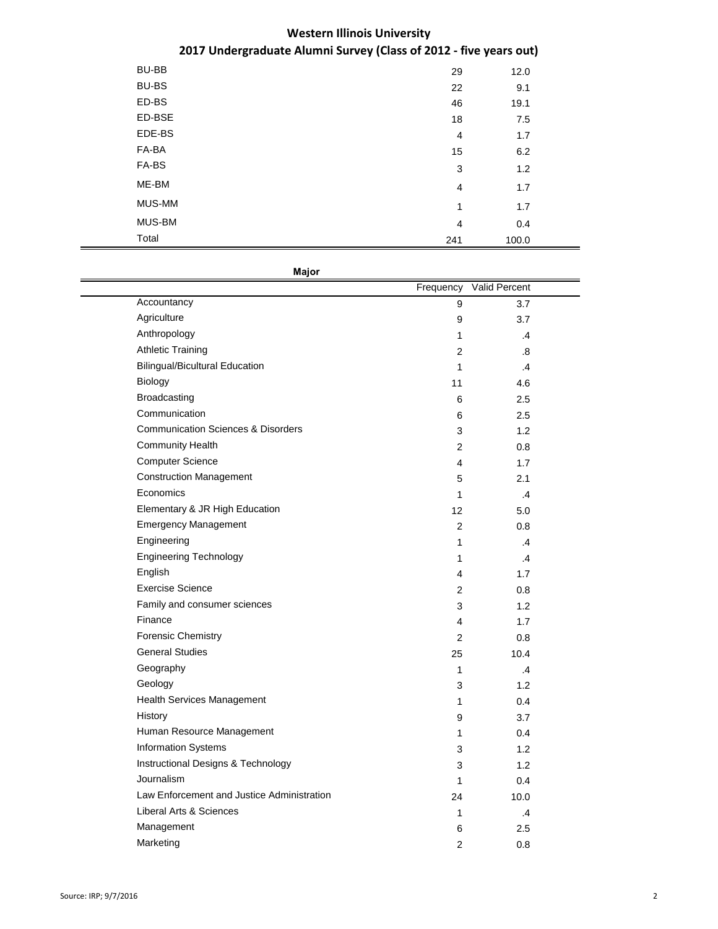| <b>BU-BB</b> | 29             | 12.0  |  |
|--------------|----------------|-------|--|
| <b>BU-BS</b> | 22             | 9.1   |  |
| ED-BS        | 46             | 19.1  |  |
| ED-BSE       | 18             | 7.5   |  |
| EDE-BS       | $\overline{4}$ | 1.7   |  |
| FA-BA        | 15             | 6.2   |  |
| FA-BS        | 3              | 1.2   |  |
| ME-BM        | $\overline{4}$ | 1.7   |  |
| MUS-MM       | 1              | 1.7   |  |
| MUS-BM       | $\overline{4}$ | 0.4   |  |
| Total        | 241            | 100.0 |  |

**Major**

|                                               | Frequency      | Valid Percent |  |
|-----------------------------------------------|----------------|---------------|--|
| Accountancy                                   | 9              | 3.7           |  |
| Agriculture                                   | 9              | 3.7           |  |
| Anthropology                                  | 1              | $\cdot$       |  |
| <b>Athletic Training</b>                      | 2              | .8            |  |
| <b>Bilingual/Bicultural Education</b>         | 1              | .4            |  |
| Biology                                       | 11             | 4.6           |  |
| Broadcasting                                  | 6              | 2.5           |  |
| Communication                                 | 6              | 2.5           |  |
| <b>Communication Sciences &amp; Disorders</b> | 3              | 1.2           |  |
| <b>Community Health</b>                       | $\overline{2}$ | 0.8           |  |
| <b>Computer Science</b>                       | 4              | 1.7           |  |
| <b>Construction Management</b>                | 5              | 2.1           |  |
| Economics                                     | 1              | $\mathcal{A}$ |  |
| Elementary & JR High Education                | 12             | 5.0           |  |
| <b>Emergency Management</b>                   | 2              | 0.8           |  |
| Engineering                                   | $\mathbf{1}$   | $\cdot$       |  |
| <b>Engineering Technology</b>                 | $\mathbf{1}$   | $\cdot$       |  |
| English                                       | 4              | 1.7           |  |
| <b>Exercise Science</b>                       | 2              | 0.8           |  |
| Family and consumer sciences                  | 3              | 1.2           |  |
| Finance                                       | 4              | 1.7           |  |
| <b>Forensic Chemistry</b>                     | $\overline{2}$ | 0.8           |  |
| <b>General Studies</b>                        | 25             | 10.4          |  |
| Geography                                     | 1              | .4            |  |
| Geology                                       | 3              | 1.2           |  |
| <b>Health Services Management</b>             | 1              | 0.4           |  |
| History                                       | 9              | 3.7           |  |
| Human Resource Management                     | 1              | 0.4           |  |
| <b>Information Systems</b>                    | 3              | 1.2           |  |
| Instructional Designs & Technology            | 3              | 1.2           |  |
| Journalism                                    | 1              | 0.4           |  |
| Law Enforcement and Justice Administration    | 24             | 10.0          |  |
| Liberal Arts & Sciences                       | 1              | $\cdot$       |  |
| Management                                    | 6              | 2.5           |  |
| Marketing                                     | $\overline{2}$ | 0.8           |  |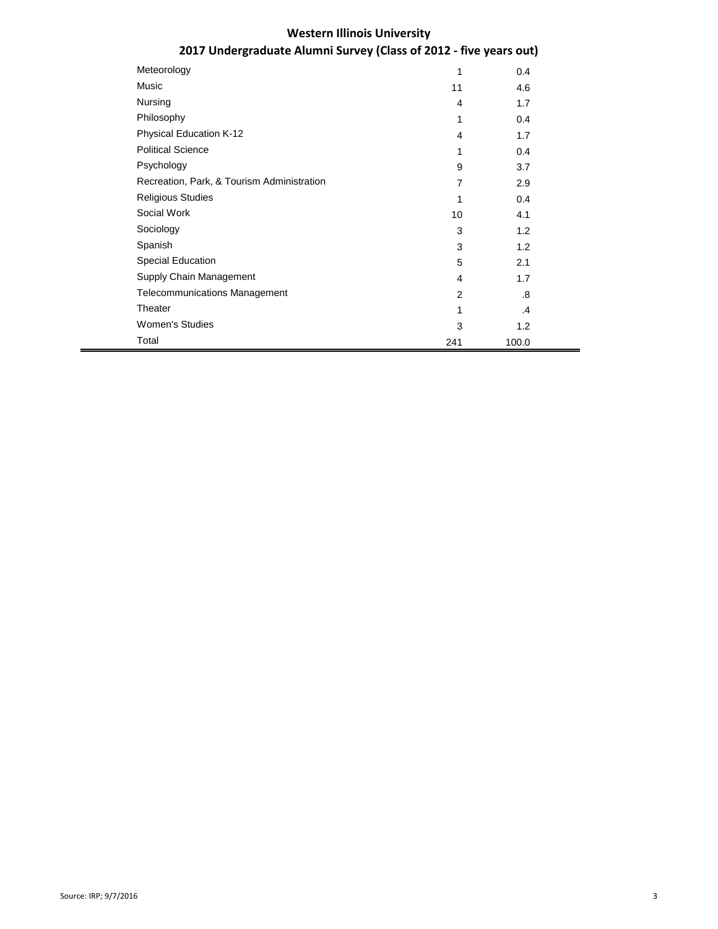# **2017 Undergraduate Alumni Survey (Class of 2012 - five years out)**

| Meteorology                                | 1              | 0.4   |
|--------------------------------------------|----------------|-------|
| Music                                      | 11             | 4.6   |
| Nursing                                    | 4              | 1.7   |
| Philosophy                                 | 1              | 0.4   |
| <b>Physical Education K-12</b>             | 4              | 1.7   |
| <b>Political Science</b>                   | 1              | 0.4   |
| Psychology                                 | 9              | 3.7   |
| Recreation, Park, & Tourism Administration | $\overline{7}$ | 2.9   |
| <b>Religious Studies</b>                   | 1              | 0.4   |
| Social Work                                | 10             | 4.1   |
| Sociology                                  | 3              | 1.2   |
| Spanish                                    | 3              | 1.2   |
| <b>Special Education</b>                   | 5              | 2.1   |
| Supply Chain Management                    | $\overline{4}$ | 1.7   |
| <b>Telecommunications Management</b>       | $\overline{2}$ | .8    |
| Theater                                    | 1              | .4    |
| <b>Women's Studies</b>                     | 3              | 1.2   |
| Total                                      | 241            | 100.0 |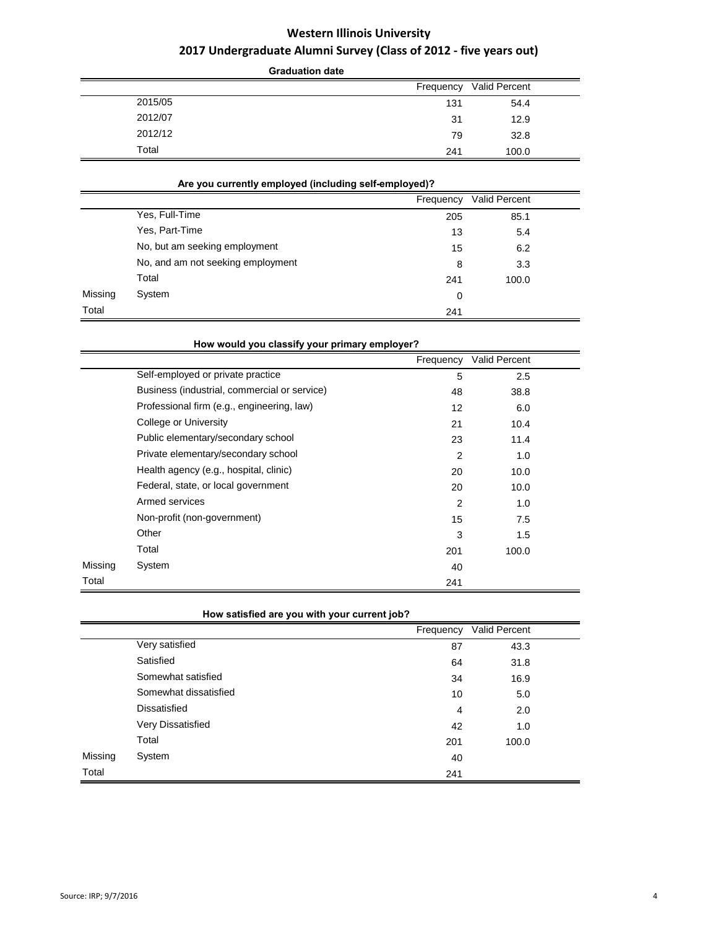|         | <b>Graduation date</b> |               |
|---------|------------------------|---------------|
|         | Frequency              | Valid Percent |
| 2015/05 | 131                    | 54.4          |
| 2012/07 | 31                     | 12.9          |
| 2012/12 | 79                     | 32.8          |
| Total   | 241                    | 100.0         |

### **Are you currently employed (including self-employed)?**

|         |                                   | Frequency | <b>Valid Percent</b> |  |
|---------|-----------------------------------|-----------|----------------------|--|
|         | Yes, Full-Time                    | 205       | 85.1                 |  |
|         | Yes, Part-Time                    | 13        | 5.4                  |  |
|         | No, but am seeking employment     | 15        | 6.2                  |  |
|         | No, and am not seeking employment | 8         | 3.3                  |  |
|         | Total                             | 241       | 100.0                |  |
| Missing | System                            | 0         |                      |  |
| Total   |                                   | 241       |                      |  |

|         | How would you classify your primary employer? |                |               |  |
|---------|-----------------------------------------------|----------------|---------------|--|
|         |                                               | Frequency      | Valid Percent |  |
|         | Self-employed or private practice             | 5              | 2.5           |  |
|         | Business (industrial, commercial or service)  | 48             | 38.8          |  |
|         | Professional firm (e.g., engineering, law)    | 12             | 6.0           |  |
|         | College or University                         | 21             | 10.4          |  |
|         | Public elementary/secondary school            | 23             | 11.4          |  |
|         | Private elementary/secondary school           | $\overline{2}$ | 1.0           |  |
|         | Health agency (e.g., hospital, clinic)        | 20             | 10.0          |  |
|         | Federal, state, or local government           | 20             | 10.0          |  |
|         | Armed services                                | 2              | 1.0           |  |
|         | Non-profit (non-government)                   | 15             | 7.5           |  |
|         | Other                                         | 3              | 1.5           |  |
|         | Total                                         | 201            | 100.0         |  |
| Missing | System                                        | 40             |               |  |
| Total   |                                               | 241            |               |  |

### **How satisfied are you with your current job?**

|         |                       | Frequency | Valid Percent |  |
|---------|-----------------------|-----------|---------------|--|
|         | Very satisfied        | 87        | 43.3          |  |
|         | Satisfied             | 64        | 31.8          |  |
|         | Somewhat satisfied    | 34        | 16.9          |  |
|         | Somewhat dissatisfied | 10        | 5.0           |  |
|         | <b>Dissatisfied</b>   | 4         | 2.0           |  |
|         | Very Dissatisfied     | 42        | 1.0           |  |
|         | Total                 | 201       | 100.0         |  |
| Missing | System                | 40        |               |  |
| Total   |                       | 241       |               |  |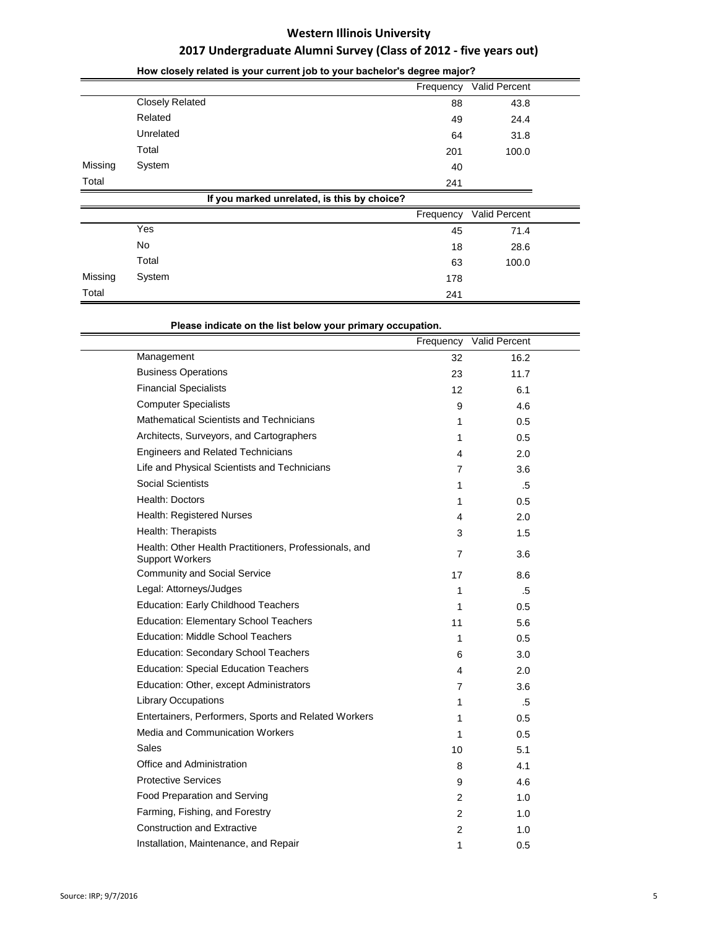|         |                                             | Frequency | Valid Percent |
|---------|---------------------------------------------|-----------|---------------|
|         | <b>Closely Related</b>                      | 88        | 43.8          |
|         | Related                                     | 49        | 24.4          |
|         | Unrelated                                   | 64        | 31.8          |
|         | Total                                       | 201       | 100.0         |
| Missing | System                                      | 40        |               |
| Total   |                                             | 241       |               |
|         | If you marked unrelated, is this by choice? |           |               |
|         |                                             | Frequency | Valid Percent |
|         | Yes                                         | 45        | 71.4          |
|         | No                                          | 18        | 28.6          |
|         | Total                                       | 63        | 100.0         |
| Missing | System                                      | 178       |               |
| Total   |                                             | 241       |               |

### **How closely related is your current job to your bachelor's degree major?**

**Please indicate on the list below your primary occupation.** 

|                                                                                  | Frequency      | Valid Percent |  |
|----------------------------------------------------------------------------------|----------------|---------------|--|
| Management                                                                       | 32             | 16.2          |  |
| <b>Business Operations</b>                                                       | 23             | 11.7          |  |
| <b>Financial Specialists</b>                                                     | 12             | 6.1           |  |
| <b>Computer Specialists</b>                                                      | 9              | 4.6           |  |
| Mathematical Scientists and Technicians                                          | 1              | 0.5           |  |
| Architects, Surveyors, and Cartographers                                         | 1              | 0.5           |  |
| <b>Engineers and Related Technicians</b>                                         | 4              | 2.0           |  |
| Life and Physical Scientists and Technicians                                     | 7              | 3.6           |  |
| Social Scientists                                                                | 1              | .5            |  |
| Health: Doctors                                                                  | 1              | 0.5           |  |
| Health: Registered Nurses                                                        | 4              | 2.0           |  |
| Health: Therapists                                                               | 3              | 1.5           |  |
| Health: Other Health Practitioners, Professionals, and<br><b>Support Workers</b> | $\overline{7}$ | 3.6           |  |
| <b>Community and Social Service</b>                                              | 17             | 8.6           |  |
| Legal: Attorneys/Judges                                                          | 1              | .5            |  |
| Education: Early Childhood Teachers                                              | 1              | 0.5           |  |
| <b>Education: Elementary School Teachers</b>                                     | 11             | 5.6           |  |
| <b>Education: Middle School Teachers</b>                                         | 1              | 0.5           |  |
| <b>Education: Secondary School Teachers</b>                                      | 6              | 3.0           |  |
| <b>Education: Special Education Teachers</b>                                     | 4              | 2.0           |  |
| Education: Other, except Administrators                                          | $\overline{7}$ | 3.6           |  |
| <b>Library Occupations</b>                                                       | 1              | .5            |  |
| Entertainers, Performers, Sports and Related Workers                             | 1              | 0.5           |  |
| Media and Communication Workers                                                  | 1              | 0.5           |  |
| <b>Sales</b>                                                                     | 10             | 5.1           |  |
| Office and Administration                                                        | 8              | 4.1           |  |
| <b>Protective Services</b>                                                       | 9              | 4.6           |  |
| Food Preparation and Serving                                                     | $\overline{2}$ | 1.0           |  |
| Farming, Fishing, and Forestry                                                   | $\overline{2}$ | 1.0           |  |
| <b>Construction and Extractive</b>                                               | $\overline{2}$ | 1.0           |  |
| Installation, Maintenance, and Repair                                            | 1              | 0.5           |  |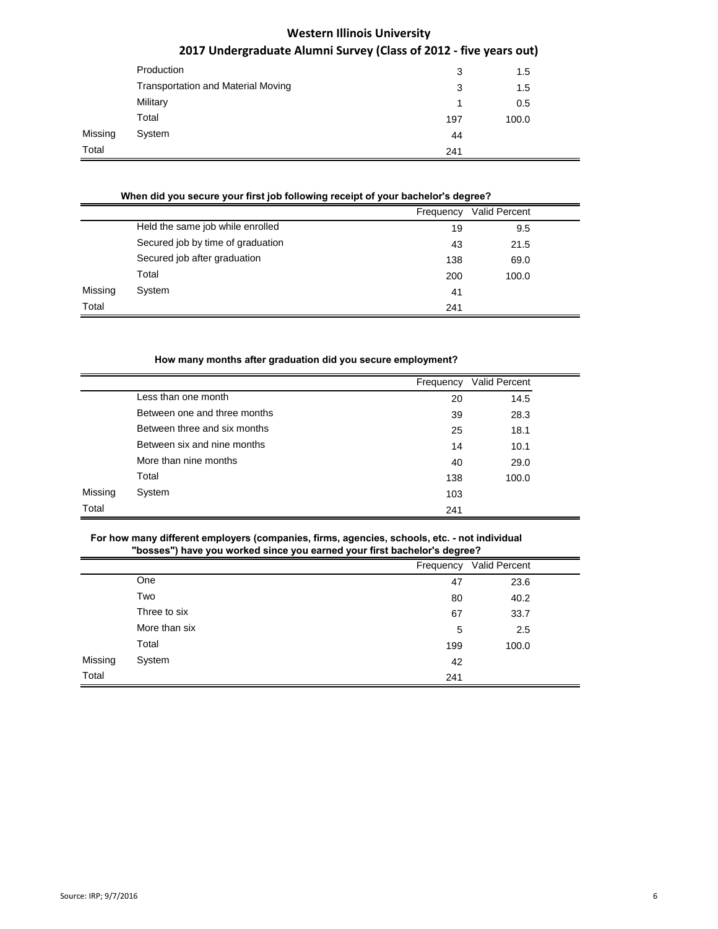|         | Production                                | 3   | 1.5   |
|---------|-------------------------------------------|-----|-------|
|         | <b>Transportation and Material Moving</b> | 3   | 1.5   |
|         | Military                                  | 1   | 0.5   |
|         | Total                                     | 197 | 100.0 |
| Missing | System                                    | 44  |       |
| Total   |                                           | 241 |       |

### **When did you secure your first job following receipt of your bachelor's degree?**

|         |                                   | Frequency | <b>Valid Percent</b> |
|---------|-----------------------------------|-----------|----------------------|
|         | Held the same job while enrolled  | 19        | 9.5                  |
|         | Secured job by time of graduation | 43        | 21.5                 |
|         | Secured job after graduation      | 138       | 69.0                 |
|         | Total                             | 200       | 100.0                |
| Missing | System                            | 41        |                      |
| Total   |                                   | 241       |                      |

#### **How many months after graduation did you secure employment?**

|         |                              | Frequency | Valid Percent |
|---------|------------------------------|-----------|---------------|
|         | Less than one month          | 20        | 14.5          |
|         | Between one and three months | 39        | 28.3          |
|         | Between three and six months | 25        | 18.1          |
|         | Between six and nine months  | 14        | 10.1          |
|         | More than nine months        | 40        | 29.0          |
|         | Total                        | 138       | 100.0         |
| Missing | System                       | 103       |               |
| Total   |                              | 241       |               |

#### **For how many different employers (companies, firms, agencies, schools, etc. - not individual**  r first hacholor's doc

|         | posses I have you worked since you earlied your institution is degree a |           |               |
|---------|-------------------------------------------------------------------------|-----------|---------------|
|         |                                                                         | Frequency | Valid Percent |
|         | One                                                                     | 47        | 23.6          |
|         | Two                                                                     | 80        | 40.2          |
|         | Three to six                                                            | 67        | 33.7          |
|         | More than six                                                           | 5         | 2.5           |
|         | Total                                                                   | 199       | 100.0         |
| Missing | System                                                                  | 42        |               |
| Total   |                                                                         | 241       |               |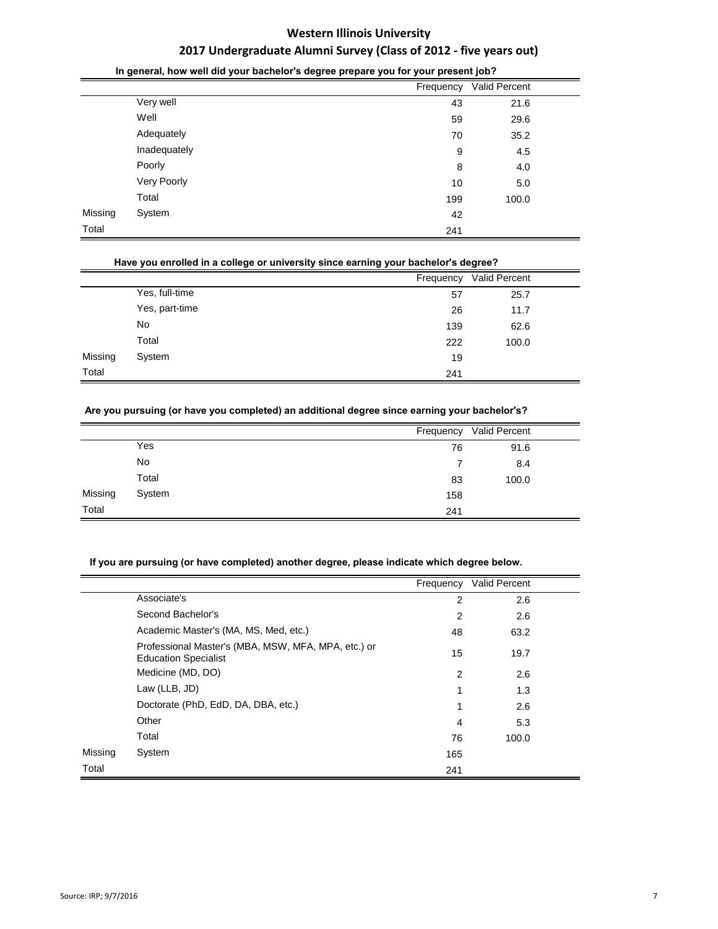|         | ◡            | Frequency | Valid Percent |  |
|---------|--------------|-----------|---------------|--|
|         | Very well    | 43        | 21.6          |  |
|         | Well         | 59        | 29.6          |  |
|         | Adequately   | 70        | 35.2          |  |
|         | Inadequately | 9         | 4.5           |  |
|         | Poorly       | 8         | 4.0           |  |
|         | Very Poorly  | 10        | 5.0           |  |
|         | Total        | 199       | 100.0         |  |
| Missing | System       | 42        |               |  |
| Total   |              | 241       |               |  |
|         |              |           |               |  |

#### **In general, how well did your bachelor's degree prepare you for your present job?**

#### **Have you enrolled in a college or university since earning your bachelor's degree?**

|         |                |     | Frequency Valid Percent |  |
|---------|----------------|-----|-------------------------|--|
|         | Yes, full-time | 57  | 25.7                    |  |
|         | Yes, part-time | 26  | 11.7                    |  |
|         | No             | 139 | 62.6                    |  |
|         | Total          | 222 | 100.0                   |  |
| Missing | System         | 19  |                         |  |
| Total   |                | 241 |                         |  |

### **Are you pursuing (or have you completed) an additional degree since earning your bachelor's?**

|         |        |     | Frequency Valid Percent |  |
|---------|--------|-----|-------------------------|--|
|         | Yes    | 76  | 91.6                    |  |
|         | No     |     | 8.4                     |  |
|         | Total  | 83  | 100.0                   |  |
| Missing | System | 158 |                         |  |
| Total   |        | 241 |                         |  |

### **If you are pursuing (or have completed) another degree, please indicate which degree below.**

|         |                                                                                    | Frequency      | <b>Valid Percent</b> |  |
|---------|------------------------------------------------------------------------------------|----------------|----------------------|--|
|         | Associate's                                                                        | $\overline{2}$ | 2.6                  |  |
|         | Second Bachelor's                                                                  | $\overline{2}$ | 2.6                  |  |
|         | Academic Master's (MA, MS, Med, etc.)                                              | 48             | 63.2                 |  |
|         | Professional Master's (MBA, MSW, MFA, MPA, etc.) or<br><b>Education Specialist</b> | 15             | 19.7                 |  |
|         | Medicine (MD, DO)                                                                  | $\overline{2}$ | 2.6                  |  |
|         | Law (LLB, JD)                                                                      | 1              | 1.3                  |  |
|         | Doctorate (PhD, EdD, DA, DBA, etc.)                                                | 1              | 2.6                  |  |
|         | Other                                                                              | $\overline{4}$ | 5.3                  |  |
|         | Total                                                                              | 76             | 100.0                |  |
| Missing | System                                                                             | 165            |                      |  |
| Total   |                                                                                    | 241            |                      |  |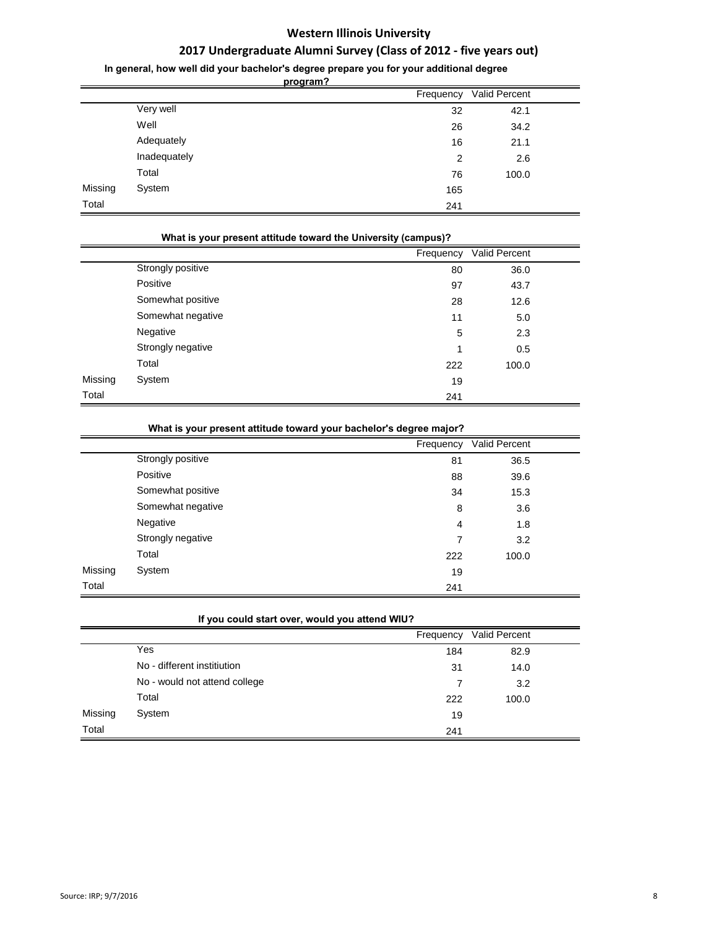## **2017 Undergraduate Alumni Survey (Class of 2012 - five years out)**

**In general, how well did your bachelor's degree prepare you for your additional degree** 

**program?**

|         |              | Frequency | <b>Valid Percent</b> |  |
|---------|--------------|-----------|----------------------|--|
|         | Very well    | 32        | 42.1                 |  |
|         | Well         | 26        | 34.2                 |  |
|         | Adequately   | 16        | 21.1                 |  |
|         | Inadequately | 2         | 2.6                  |  |
|         | Total        | 76        | 100.0                |  |
| Missing | System       | 165       |                      |  |
| Total   |              | 241       |                      |  |

|         | What is your present attitude toward the University (campus)? |     |                         |  |
|---------|---------------------------------------------------------------|-----|-------------------------|--|
|         |                                                               |     | Frequency Valid Percent |  |
|         | Strongly positive                                             | 80  | 36.0                    |  |
|         | Positive                                                      | 97  | 43.7                    |  |
|         | Somewhat positive                                             | 28  | 12.6                    |  |
|         | Somewhat negative                                             | 11  | 5.0                     |  |
|         | Negative                                                      | 5   | 2.3                     |  |
|         | Strongly negative                                             | 1   | 0.5                     |  |
|         | Total                                                         | 222 | 100.0                   |  |
| Missing | System                                                        | 19  |                         |  |
| Total   |                                                               | 241 |                         |  |

|         | What is your present attitude toward your bachelor's degree major? |           |               |
|---------|--------------------------------------------------------------------|-----------|---------------|
|         |                                                                    | Frequency | Valid Percent |
|         | Strongly positive                                                  | 81        | 36.5          |
|         | Positive                                                           | 88        | 39.6          |
|         | Somewhat positive                                                  | 34        | 15.3          |
|         | Somewhat negative                                                  | 8         | 3.6           |
|         | Negative                                                           | 4         | 1.8           |
|         | Strongly negative                                                  | 7         | 3.2           |
|         | Total                                                              | 222       | 100.0         |
| Missing | System                                                             | 19        |               |
| Total   |                                                                    | 241       |               |

|         | If you could start over, would you attend WIU? |           |               |  |  |
|---------|------------------------------------------------|-----------|---------------|--|--|
|         |                                                | Frequency | Valid Percent |  |  |
|         | Yes                                            | 184       | 82.9          |  |  |
|         | No - different institiution                    | 31        | 14.0          |  |  |
|         | No - would not attend college                  | 7         | 3.2           |  |  |
|         | Total                                          | 222       | 100.0         |  |  |
| Missing | System                                         | 19        |               |  |  |
| Total   |                                                | 241       |               |  |  |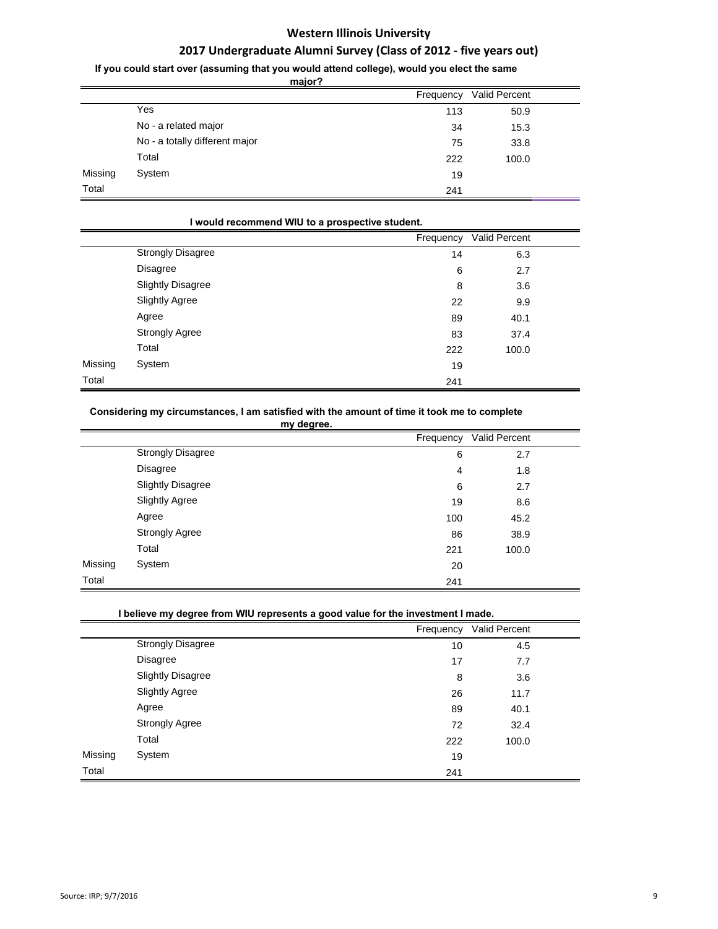## **2017 Undergraduate Alumni Survey (Class of 2012 - five years out)**

**If you could start over (assuming that you would attend college), would you elect the same** 

**major?**

|         | <u>major?</u>                  |           |               |  |
|---------|--------------------------------|-----------|---------------|--|
|         |                                | Frequency | Valid Percent |  |
|         | Yes                            | 113       | 50.9          |  |
|         | No - a related major           | 34        | 15.3          |  |
|         | No - a totally different major | 75        | 33.8          |  |
|         | Total                          | 222       | 100.0         |  |
| Missing | System                         | 19        |               |  |
| Total   |                                | 241       |               |  |

|         | I would recommend WIU to a prospective student. |           |               |  |  |
|---------|-------------------------------------------------|-----------|---------------|--|--|
|         |                                                 | Frequency | Valid Percent |  |  |
|         | <b>Strongly Disagree</b>                        | 14        | 6.3           |  |  |
|         | Disagree                                        | 6         | 2.7           |  |  |
|         | <b>Slightly Disagree</b>                        | 8         | 3.6           |  |  |
|         | <b>Slightly Agree</b>                           | 22        | 9.9           |  |  |
|         | Agree                                           | 89        | 40.1          |  |  |
|         | <b>Strongly Agree</b>                           | 83        | 37.4          |  |  |
|         | Total                                           | 222       | 100.0         |  |  |
| Missing | System                                          | 19        |               |  |  |
| Total   |                                                 | 241       |               |  |  |
|         |                                                 |           |               |  |  |

#### **Considering my circumstances, I am satisfied with the amount of time it took me to complete**

|         | my degree.               |           |               |  |
|---------|--------------------------|-----------|---------------|--|
|         |                          | Frequency | Valid Percent |  |
|         | <b>Strongly Disagree</b> | 6         | 2.7           |  |
|         | Disagree                 | 4         | 1.8           |  |
|         | <b>Slightly Disagree</b> | 6         | 2.7           |  |
|         | <b>Slightly Agree</b>    | 19        | 8.6           |  |
|         | Agree                    | 100       | 45.2          |  |
|         | <b>Strongly Agree</b>    | 86        | 38.9          |  |
|         | Total                    | 221       | 100.0         |  |
| Missing | System                   | 20        |               |  |
| Total   |                          | 241       |               |  |

### **I believe my degree from WIU represents a good value for the investment I made.**

|         |                          | Frequency | Valid Percent |  |
|---------|--------------------------|-----------|---------------|--|
|         | <b>Strongly Disagree</b> | 10        | 4.5           |  |
|         | Disagree                 | 17        | 7.7           |  |
|         | <b>Slightly Disagree</b> | 8         | 3.6           |  |
|         | <b>Slightly Agree</b>    | 26        | 11.7          |  |
|         | Agree                    | 89        | 40.1          |  |
|         | <b>Strongly Agree</b>    | 72        | 32.4          |  |
|         | Total                    | 222       | 100.0         |  |
| Missing | System                   | 19        |               |  |
| Total   |                          | 241       |               |  |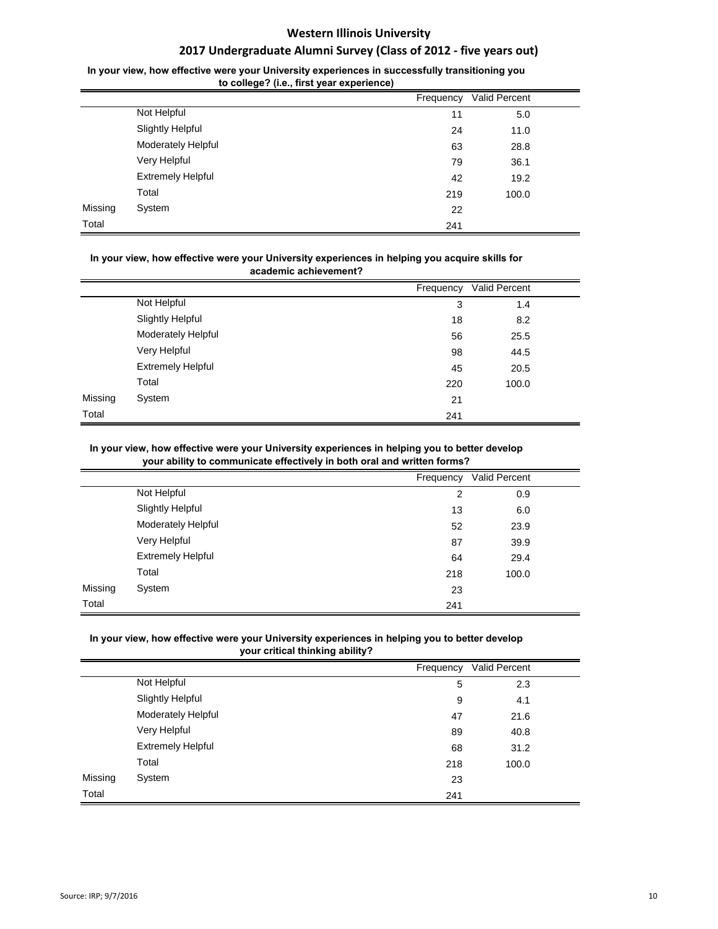## **2017 Undergraduate Alumni Survey (Class of 2012 - five years out)**

### In your view, how effective were your University experiences in successfully transitioning you **to college? (i.e., first year experience)**

|         | $\sim$ 0000000 (non mot four experience) |           |               |  |
|---------|------------------------------------------|-----------|---------------|--|
|         |                                          | Frequency | Valid Percent |  |
|         | Not Helpful                              | 11        | 5.0           |  |
|         | <b>Slightly Helpful</b>                  | 24        | 11.0          |  |
|         | Moderately Helpful                       | 63        | 28.8          |  |
|         | Very Helpful                             | 79        | 36.1          |  |
|         | <b>Extremely Helpful</b>                 | 42        | 19.2          |  |
|         | Total                                    | 219       | 100.0         |  |
| Missing | System                                   | 22        |               |  |
| Total   |                                          | 241       |               |  |

#### In your view, how effective were your University experiences in helping you acquire skills for **academic achievement?**

|         |                          | Frequency | Valid Percent |  |
|---------|--------------------------|-----------|---------------|--|
|         | Not Helpful              | 3         | 1.4           |  |
|         | <b>Slightly Helpful</b>  | 18        | 8.2           |  |
|         | Moderately Helpful       | 56        | 25.5          |  |
|         | Very Helpful             | 98        | 44.5          |  |
|         | <b>Extremely Helpful</b> | 45        | 20.5          |  |
|         | Total                    | 220       | 100.0         |  |
| Missing | System                   | 21        |               |  |
| Total   |                          | 241       |               |  |

#### In your view, how effective were your University experiences in helping you to better develop **your ability to communicate effectively in both oral and written forms?**

|         |                          | Frequency      | Valid Percent |  |
|---------|--------------------------|----------------|---------------|--|
|         | Not Helpful              | $\overline{2}$ | 0.9           |  |
|         | <b>Slightly Helpful</b>  | 13             | 6.0           |  |
|         | Moderately Helpful       | 52             | 23.9          |  |
|         | Very Helpful             | 87             | 39.9          |  |
|         | <b>Extremely Helpful</b> | 64             | 29.4          |  |
|         | Total                    | 218            | 100.0         |  |
| Missing | System                   | 23             |               |  |
| Total   |                          | 241            |               |  |

### In your view, how effective were your University experiences in helping you to better develop **your critical thinking ability?**

|         |                          | Frequency | Valid Percent |  |
|---------|--------------------------|-----------|---------------|--|
|         | Not Helpful              | 5         | 2.3           |  |
|         | <b>Slightly Helpful</b>  | 9         | 4.1           |  |
|         | Moderately Helpful       | 47        | 21.6          |  |
|         | Very Helpful             | 89        | 40.8          |  |
|         | <b>Extremely Helpful</b> | 68        | 31.2          |  |
|         | Total                    | 218       | 100.0         |  |
| Missing | System                   | 23        |               |  |
| Total   |                          | 241       |               |  |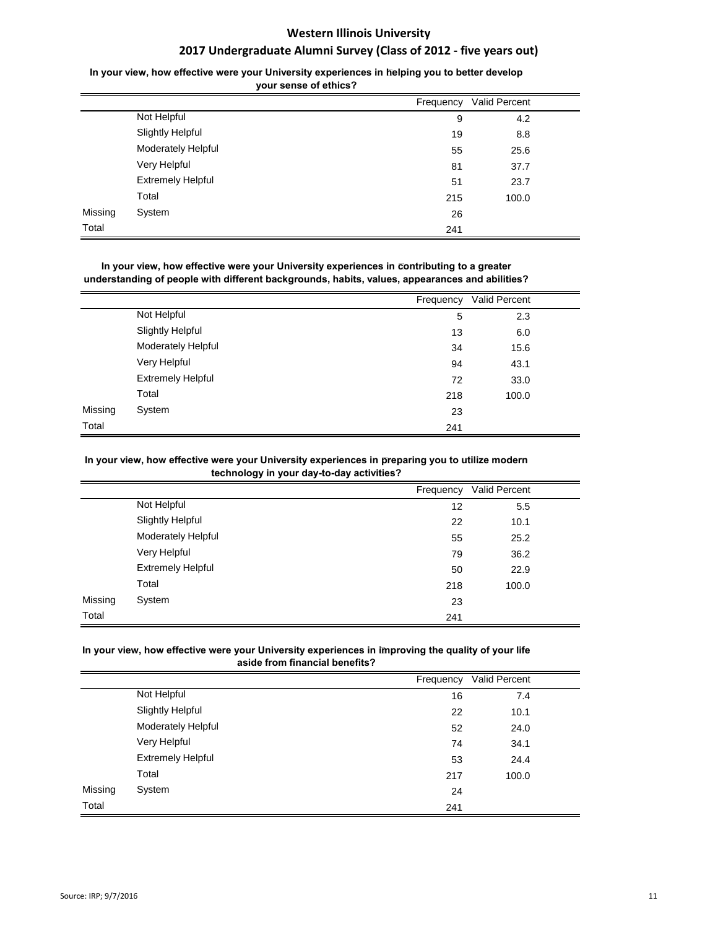### In your view, how effective were your University experiences in helping you to better develop **your sense of ethics?**

|         |                          | Frequency | Valid Percent |  |
|---------|--------------------------|-----------|---------------|--|
|         | Not Helpful              | 9         | 4.2           |  |
|         | <b>Slightly Helpful</b>  | 19        | 8.8           |  |
|         | Moderately Helpful       | 55        | 25.6          |  |
|         | Very Helpful             | 81        | 37.7          |  |
|         | <b>Extremely Helpful</b> | 51        | 23.7          |  |
|         | Total                    | 215       | 100.0         |  |
| Missing | System                   | 26        |               |  |
| Total   |                          | 241       |               |  |

In your view, how effective were your University experiences in contributing to a greater **understanding of people with different backgrounds, habits, values, appearances and abilities?**

|         |                          | Frequency | Valid Percent |  |
|---------|--------------------------|-----------|---------------|--|
|         | Not Helpful              | 5         | 2.3           |  |
|         | <b>Slightly Helpful</b>  | 13        | 6.0           |  |
|         | Moderately Helpful       | 34        | 15.6          |  |
|         | Very Helpful             | 94        | 43.1          |  |
|         | <b>Extremely Helpful</b> | 72        | 33.0          |  |
|         | Total                    | 218       | 100.0         |  |
| Missing | System                   | 23        |               |  |
| Total   |                          | 241       |               |  |

#### In your view, how effective were your University experiences in preparing you to utilize modern **technology in your day-to-day activities?**

|         |                          | Frequency | Valid Percent |  |
|---------|--------------------------|-----------|---------------|--|
|         | Not Helpful              | 12        | 5.5           |  |
|         | <b>Slightly Helpful</b>  | 22        | 10.1          |  |
|         | Moderately Helpful       | 55        | 25.2          |  |
|         | Very Helpful             | 79        | 36.2          |  |
|         | <b>Extremely Helpful</b> | 50        | 22.9          |  |
|         | Total                    | 218       | 100.0         |  |
| Missing | System                   | 23        |               |  |
| Total   |                          | 241       |               |  |

### In your view, how effective were your University experiences in improving the quality of your life **aside from financial benefits?**

|         |                          | Frequency | Valid Percent |  |
|---------|--------------------------|-----------|---------------|--|
|         | Not Helpful              | 16        | 7.4           |  |
|         | <b>Slightly Helpful</b>  | 22        | 10.1          |  |
|         | Moderately Helpful       | 52        | 24.0          |  |
|         | Very Helpful             | 74        | 34.1          |  |
|         | <b>Extremely Helpful</b> | 53        | 24.4          |  |
|         | Total                    | 217       | 100.0         |  |
| Missing | System                   | 24        |               |  |
| Total   |                          | 241       |               |  |